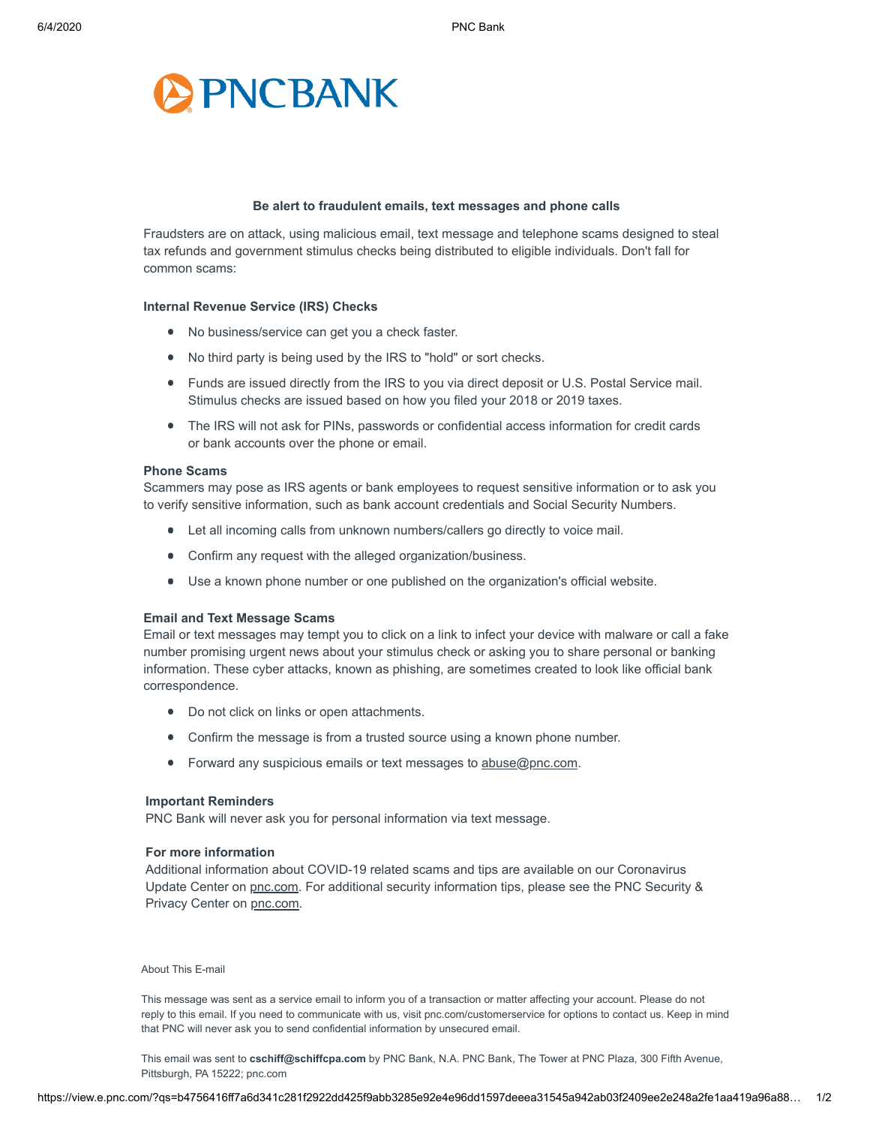

## **Be alert to fraudulent emails, text messages and phone calls**

Fraudsters are on attack, using malicious email, text message and telephone scams designed to steal tax refunds and government stimulus checks being distributed to eligible individuals. Don't fall for common scams:

#### **Internal Revenue Service (IRS) Checks**

- No business/service can get you a check faster.
- No third party is being used by the IRS to "hold" or sort checks.
- Funds are issued directly from the IRS to you via direct deposit or U.S. Postal Service mail. Stimulus checks are issued based on how you filed your 2018 or 2019 taxes.
- The IRS will not ask for PINs, passwords or confidential access information for credit cards or bank accounts over the phone or email.

#### **Phone Scams**

Scammers may pose as IRS agents or bank employees to request sensitive information or to ask you to verify sensitive information, such as bank account credentials and Social Security Numbers.

- Let all incoming calls from unknown numbers/callers go directly to voice mail.
- Confirm any request with the alleged organization/business.
- Use a known phone number or one published on the organization's official website.

#### **Email and Text Message Scams**

Email or text messages may tempt you to click on a link to infect your device with malware or call a fake number promising urgent news about your stimulus check or asking you to share personal or banking information. These cyber attacks, known as phishing, are sometimes created to look like official bank correspondence.

- Do not click on links or open attachments.
- Confirm the message is from a trusted source using a known phone number.
- Forward any suspicious emails or text messages to [abuse@pnc.com.](mailto:abuse@pnc.com)

# **Important Reminders**

PNC Bank will never ask you for personal information via text message.

## **For more information**

Additional information about COVID-19 related scams and tips are available on our Coronavirus Update Center on [pnc.com](https://click.e.pnc.com/?qs=bbe9dd5f7b773cc768b70de288e9d5c2d576e6769126db522290f66f4c98ec40e11b2bcbfb875ee9295cfbde6bb4f3a540b84f46155e92c6e2807de9dd25aa5e). For additional security information tips, please see the PNC Security & Privacy Center on [pnc.com](https://click.e.pnc.com/?qs=6a9a6ffcde5194a7056c680939bfed507d1417c5f0a8d84383d2358a79e48fdb14e04b36a0965a03cb493bcb472626cb5687baa8751cadb25592ad21330a25ca).

# About This E-mail

This message was sent as a service email to inform you of a transaction or matter affecting your account. Please do not reply to this email. If you need to communicate with us, visit [pnc.com/customerservice](https://click.e.pnc.com/?qs=bbe9dd5f7b773cc72ffbdc76d12df540d4d375ba8e0bc8dfe653de0c5729b882efb784b64316a70ca91f713f0ea09f4de68a68399f7d2a7c9f77754019aa0cff) for options to contact us. Keep in mind that PNC will never ask you to send confidential information by unsecured email.

This email was sent to *[cschiff@schiffcpa.com](https://view.e.pnc.com/?qs=b4756416ff7a6d341c281f2922dd425f9abb3285e92e4e96dd1597deeea31545a942ab03f2409ee2e248a2fe1aa419a96a88b6d133a5de993643e6e2a77a83addd8ace7d05234ced6e24f61116c1acc147212f534c8023da)* by PNC Bank, N.A. PNC Bank, The Tower at PNC Plaza, 300 Fifth Avenue, Pittsburgh, PA 15222; [pnc.com](https://click.e.pnc.com/?qs=bbe9dd5f7b773cc717e76e3d5c7a7f4bb774f551bf064ed739b08e35261d0bdc6be60312d6a2091a5da29f6829223324b5cfb6c66d21143d6a1cf0db39cd8706)